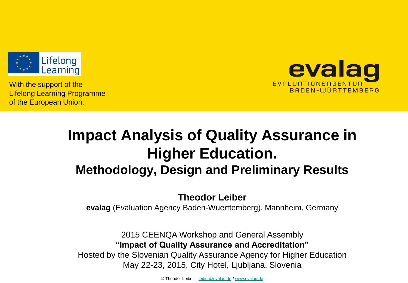

With the support of the Lifelong Learning Programme of the European Union.



# **Impact Analysis of Quality Assurance in Higher Education. Methodology, Design and Preliminary Results**

#### **Theodor Leiber**

**evalag** (Evaluation Agency Baden-Wuerttemberg), Mannheim, Germany

2015 CEENQA Workshop and General Assembly **"Impact of Quality Assurance and Accreditation"** Hosted by the Slovenian Quality Assurance Agency for Higher Education May 22-23, 2015, City Hotel, Ljubljana, Slovenia

© Theodor Leiber – [leiber@evalag.de](mailto:leiber@evalag.de) / [www.evalag.de](http://www.evalag.de/)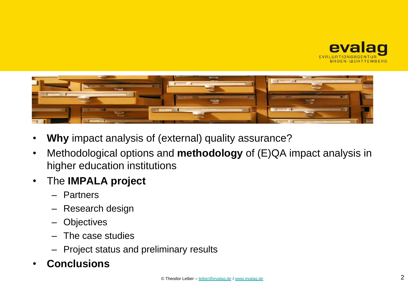



- **Why** impact analysis of (external) quality assurance?
- Methodological options and **methodology** of (E)QA impact analysis in higher education institutions
- The **IMPALA project**
	- Partners
	- Research design
	- **Objectives**
	- The case studies
	- Project status and preliminary results

#### • **Conclusions**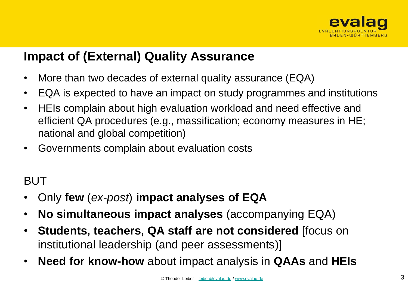

#### **Impact of (External) Quality Assurance**

- More than two decades of external quality assurance (EQA)
- EQA is expected to have an impact on study programmes and institutions
- HEIs complain about high evaluation workload and need effective and efficient QA procedures (e.g., massification; economy measures in HE; national and global competition)
- Governments complain about evaluation costs

#### BUT

- Only **few** (*ex-post*) **impact analyses of EQA**
- **No simultaneous impact analyses** (accompanying EQA)
- **Students, teachers, QA staff are not considered** [focus on institutional leadership (and peer assessments)]
- **Need for know-how** about impact analysis in **QAAs** and **HEIs**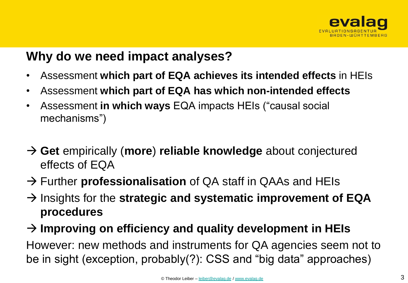

#### **Why do we need impact analyses?**

- Assessment **which part of EQA achieves its intended effects** in HEIs
- Assessment **which part of EQA has which non-intended effects**
- Assessment **in which ways** EQA impacts HEIs ("causal social mechanisms")
- **Get** empirically (**more**) **reliable knowledge** about conjectured effects of EQA
- → Further **professionalisation** of QA staff in QAAs and HEIs
- $\rightarrow$  Insights for the **strategic and systematic improvement of EQA procedures**

#### **Improving on efficiency and quality development in HEIs**

However: new methods and instruments for QA agencies seem not to be in sight (exception, probably(?): CSS and "big data" approaches)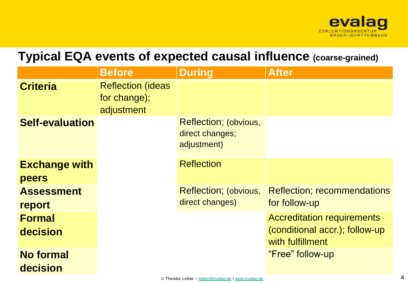

#### **Typical EQA events of expected causal influence (coarse-grained)**

|                        | <b>Before</b>                                           | <b>During</b>                                           | <b>After</b>                        |
|------------------------|---------------------------------------------------------|---------------------------------------------------------|-------------------------------------|
| <b>Criteria</b>        | <b>Reflection (ideas)</b><br>for change);<br>adjustment |                                                         |                                     |
| <b>Self-evaluation</b> |                                                         | Reflection; (obvious,<br>direct changes;<br>adjustment) |                                     |
| <b>Exchange with</b>   |                                                         | <b>Reflection</b>                                       |                                     |
| peers                  |                                                         |                                                         |                                     |
| <b>Assessment</b>      |                                                         | <b>Reflection</b> ; (obvious,                           | <b>Reflection</b> ; recommendations |
| report                 |                                                         | direct changes)                                         | for follow-up                       |
| <b>Formal</b>          |                                                         |                                                         | <b>Accreditation requirements</b>   |
| decision               |                                                         |                                                         | (conditional accr.); follow-up      |
|                        |                                                         |                                                         | with fulfillment                    |
| <b>No formal</b>       |                                                         |                                                         | "Free" follow-up                    |
| decision               |                                                         |                                                         |                                     |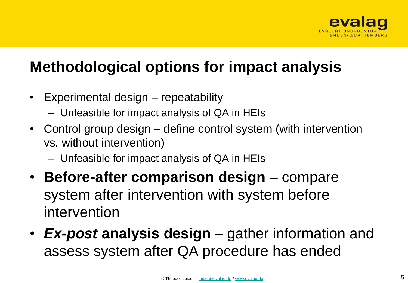

## **Methodological options for impact analysis**

- Experimental design repeatability
	- Unfeasible for impact analysis of QA in HEIs
- Control group design define control system (with intervention vs. without intervention)
	- Unfeasible for impact analysis of QA in HEIs
- **Before-after comparison design**  compare system after intervention with system before intervention
- *Ex-post* **analysis design**  gather information and assess system after QA procedure has ended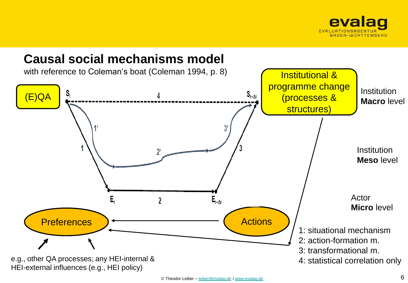

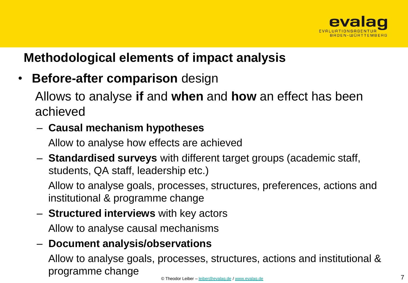

#### **Methodological elements of impact analysis**

• **Before-after comparison** design

Allows to analyse **if** and **when** and **how** an effect has been achieved

#### – **Causal mechanism hypotheses**

Allow to analyse how effects are achieved

– **Standardised surveys** with different target groups (academic staff, students, QA staff, leadership etc.)

Allow to analyse goals, processes, structures, preferences, actions and institutional & programme change

– **Structured interviews** with key actors

Allow to analyse causal mechanisms

#### – **Document analysis/observations**

Allow to analyse goals, processes, structures, actions and institutional & programme change © Theodor Leiber – [leiber@evalag.de](mailto:leiber@evalag.de) / [www.evalag.de](http://www.evalag.de/) 7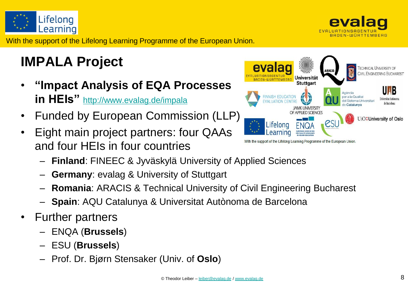



With the support of the Lifelong Learning Programme of the European Union.

# **IMPALA Project**

- **"Impact Analysis of EQA Processes in HEIs"** <http://www.evalag.de/impala>
- Funded by European Commission (LLP)
- Eight main project partners: four QAAs and four HEIs in four countries
	- **Finland**: FINEEC & Jyväskylä University of Applied Sciences
	- **Germany**: evalag & University of Stuttgart
	- **Romania**: ARACIS & Technical University of Civil Engineering Bucharest
	- **Spain**: AQU Catalunya & Universitat Autònoma de Barcelona
- Further partners
	- ENQA (**Brussels**)
	- ESU (**Brussels**)
	- Prof. Dr. Bjørn Stensaker (Univ. of **Oslo**)

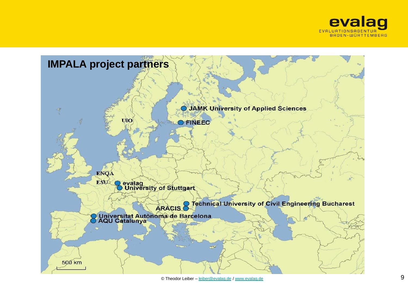

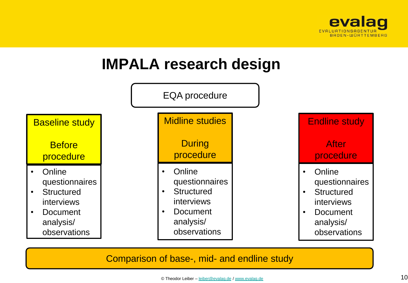

## **IMPALA research design**



#### Comparison of base-, mid- and endline study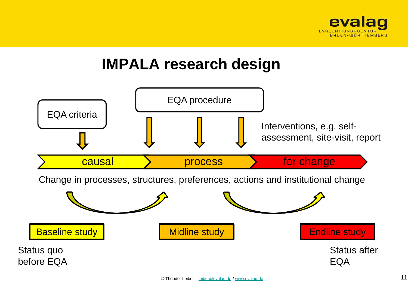

## **IMPALA research design**

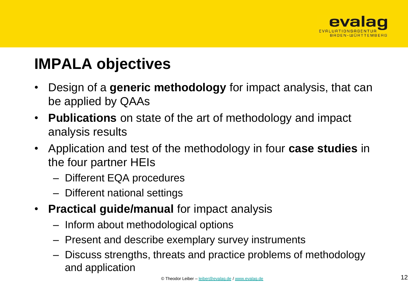

# **IMPALA objectives**

- Design of a **generic methodology** for impact analysis, that can be applied by QAAs
- **Publications** on state of the art of methodology and impact analysis results
- Application and test of the methodology in four **case studies** in the four partner HEIs
	- Different EQA procedures
	- Different national settings
- **Practical guide/manual** for impact analysis
	- Inform about methodological options
	- Present and describe exemplary survey instruments
	- Discuss strengths, threats and practice problems of methodology and application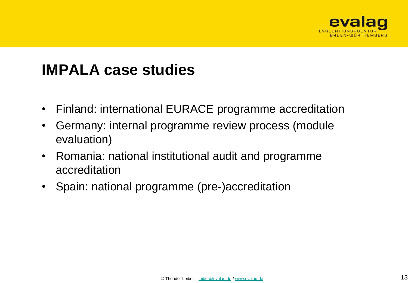

### **IMPALA case studies**

- Finland: international EURACE programme accreditation
- Germany: internal programme review process (module evaluation)
- Romania: national institutional audit and programme accreditation
- Spain: national programme (pre-)accreditation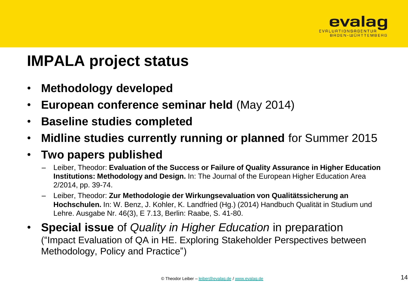

## **IMPALA project status**

- **Methodology developed**
- **European conference seminar held** (May 2014)
- **Baseline studies completed**
- **Midline studies currently running or planned** for Summer 2015

#### • **Two papers published**

- Leiber, Theodor: **Evaluation of the Success or Failure of Quality Assurance in Higher Education Institutions: Methodology and Design.** In: The Journal of the European Higher Education Area 2/2014, pp. 39-74.
- Leiber, Theodor: **Zur Methodologie der Wirkungsevaluation von Qualitätssicherung an Hochschulen.** In: W. Benz, J. Kohler, K. Landfried (Hg.) (2014) Handbuch Qualität in Studium und Lehre. Ausgabe Nr. 46(3), E 7.13, Berlin: Raabe, S. 41-80.
- **Special issue** of *Quality in Higher Education* in preparation ("Impact Evaluation of QA in HE. Exploring Stakeholder Perspectives between Methodology, Policy and Practice")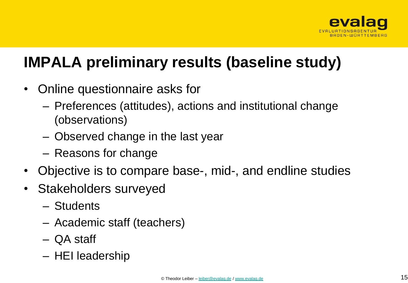

# **IMPALA preliminary results (baseline study)**

- Online questionnaire asks for
	- Preferences (attitudes), actions and institutional change (observations)
	- Observed change in the last year
	- Reasons for change
- Objective is to compare base-, mid-, and endline studies
- Stakeholders surveyed
	- Students
	- Academic staff (teachers)
	- QA staff
	- HEI leadership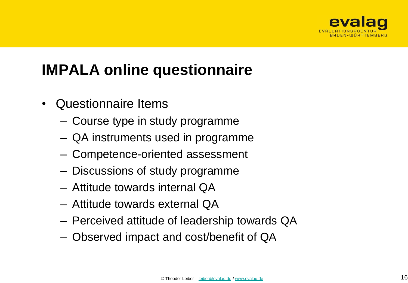

# **IMPALA online questionnaire**

- Questionnaire Items
	- Course type in study programme
	- QA instruments used in programme
	- Competence-oriented assessment
	- Discussions of study programme
	- Attitude towards internal QA
	- Attitude towards external QA
	- Perceived attitude of leadership towards QA
	- Observed impact and cost/benefit of QA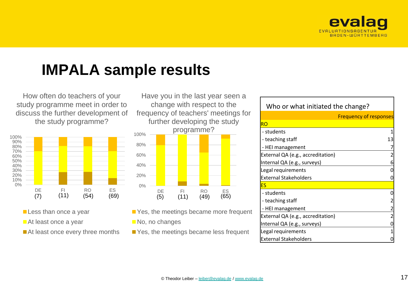

## **IMPALA sample results**

How often do teachers of your study programme meet in order to discuss the further development of the study programme?



- **Less than once a year**
- At least once a year
- At least once every three months

0% 20% 40% 60% 80% 100% DE FI RO ES Have you in the last year seen a change with respect to the frequency of teachers' meetings for further developing the study programme? (5) (11) (49) (65)

- PYes, the meetings became more frequent
- No, no changes
- Yes, the meetings became less frequent

| Who or what initiated the change? |                               |  |  |  |
|-----------------------------------|-------------------------------|--|--|--|
|                                   | <b>Frequency of responses</b> |  |  |  |
| <b>RO</b>                         |                               |  |  |  |
| - students                        |                               |  |  |  |
| - teaching staff                  | 13                            |  |  |  |
| - HEI management                  |                               |  |  |  |
| External QA (e.g., accreditation) |                               |  |  |  |
| Internal QA (e.g., surveys)       |                               |  |  |  |
| Legal requirements                |                               |  |  |  |
| <b>External Stakeholders</b>      |                               |  |  |  |
| ES                                |                               |  |  |  |
| - students                        |                               |  |  |  |
| - teaching staff                  |                               |  |  |  |
| - HEI management                  |                               |  |  |  |
| External QA (e.g., accreditation) |                               |  |  |  |
| Internal QA (e.g., surveys)       |                               |  |  |  |
| Legal requirements                |                               |  |  |  |
| <b>External Stakeholders</b>      |                               |  |  |  |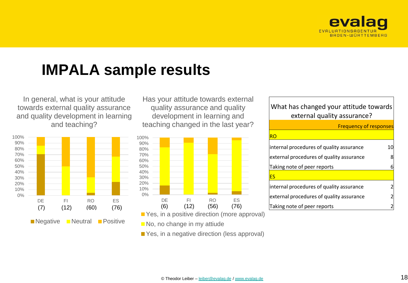

## **IMPALA sample results**

In general, what is your attitude towards external quality assurance and quality development in learning and teaching?



Has your attitude towards external quality assurance and quality development in learning and teaching changed in the last year?



PYes, in a positive direction (more approval)

No, no change in my attiude

Yes, in a negative direction (less approval)

#### What has changed your attitude towards external quality assurance?

| <b>Frequency of responses</b>            |    |  |  |
|------------------------------------------|----|--|--|
| RO                                       |    |  |  |
| internal procedures of quality assurance | 10 |  |  |
| external procedures of quality assurance |    |  |  |
| Taking note of peer reports              |    |  |  |
| FS                                       |    |  |  |
| internal procedures of quality assurance |    |  |  |
| external procedures of quality assurance |    |  |  |
| Taking note of peer reports              |    |  |  |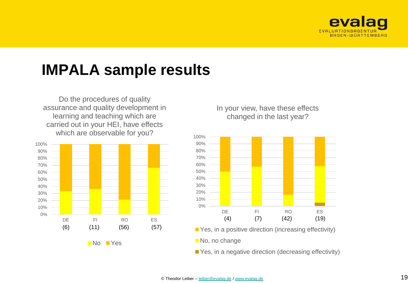

### **IMPALA sample results**

Do the procedures of quality assurance and quality development in learning and teaching which are carried out in your HEI, have effects which are observable for you?



In your view, have these effects changed in the last year?



- **P**Yes, in a positive direction (increasing effectivity)
- No, no change

**P**Yes, in a negative direction (decreasing effectivity)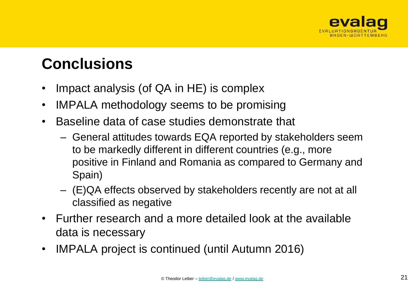

## **Conclusions**

- Impact analysis (of QA in HE) is complex
- IMPALA methodology seems to be promising
- Baseline data of case studies demonstrate that
	- General attitudes towards EQA reported by stakeholders seem to be markedly different in different countries (e.g., more positive in Finland and Romania as compared to Germany and Spain)
	- (E)QA effects observed by stakeholders recently are not at all classified as negative
- Further research and a more detailed look at the available data is necessary
- IMPALA project is continued (until Autumn 2016)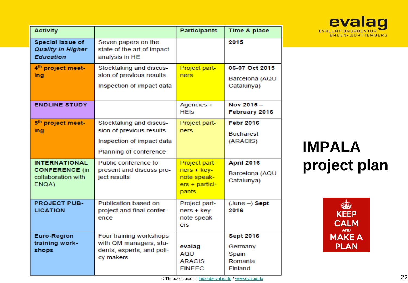| Valia              |  |
|--------------------|--|
| EVALUATIONSAGENTUR |  |
| BADEN-WÜRTTEMBERG  |  |

| <b>Activity</b>                                                              |                                                                                                            | <b>Participants</b>                                                      | Time & place                                               |
|------------------------------------------------------------------------------|------------------------------------------------------------------------------------------------------------|--------------------------------------------------------------------------|------------------------------------------------------------|
| <b>Special Issue of</b><br><b>Quality in Higher</b><br><b>Education</b>      | Seven papers on the<br>state of the art of impact<br>analysis in HE                                        |                                                                          | 2015                                                       |
| 4 <sup>th</sup> project meet-<br>ing                                         | Stocktaking and discus-<br>sion of previous results<br>Inspection of impact data                           | Project part-<br>ners                                                    | 06-07 Oct 2015<br>Barcelona (AQU<br>Catalunya)             |
| <b>ENDLINE STUDY</b>                                                         |                                                                                                            | Agencies +<br><b>HEIS</b>                                                | Nov 2015-<br>February 2016                                 |
| 5 <sup>th</sup> project meet-<br>ing                                         | Stocktaking and discus-<br>sion of previous results<br>Inspection of impact data<br>Planning of conference | Project part-<br><b>ners</b>                                             | <b>Febr 2016</b><br><b>Bucharest</b><br>(ARACIS)           |
| <b>INTERNATIONAL</b><br><b>CONFERENCE (in</b><br>collaboration with<br>ENQA) | Public conference to<br>present and discuss pro-<br>ject results                                           | Project part-<br>$ners + key-$<br>note speak-<br>ers + partici-<br>pants | <b>April 2016</b><br>Barcelona (AQU<br>Catalunya)          |
| <b>PROJECT PUB-</b><br><b>LICATION</b>                                       | Publication based on<br>project and final confer-<br>ence                                                  | Project part-<br>ners + key-<br>note speak-<br>ers                       | $(June -)$ Sept<br>2016                                    |
| <b>Euro-Region</b><br>training work-<br>shops                                | Four training workshops<br>with QM managers, stu-<br>dents, experts, and poli-<br>cy makers                | evalag<br>AQU<br><b>ARACIS</b><br><b>FINEEC</b>                          | <b>Sept 2016</b><br>Germany<br>Spain<br>Romania<br>Finland |

**IMPALA project plan**